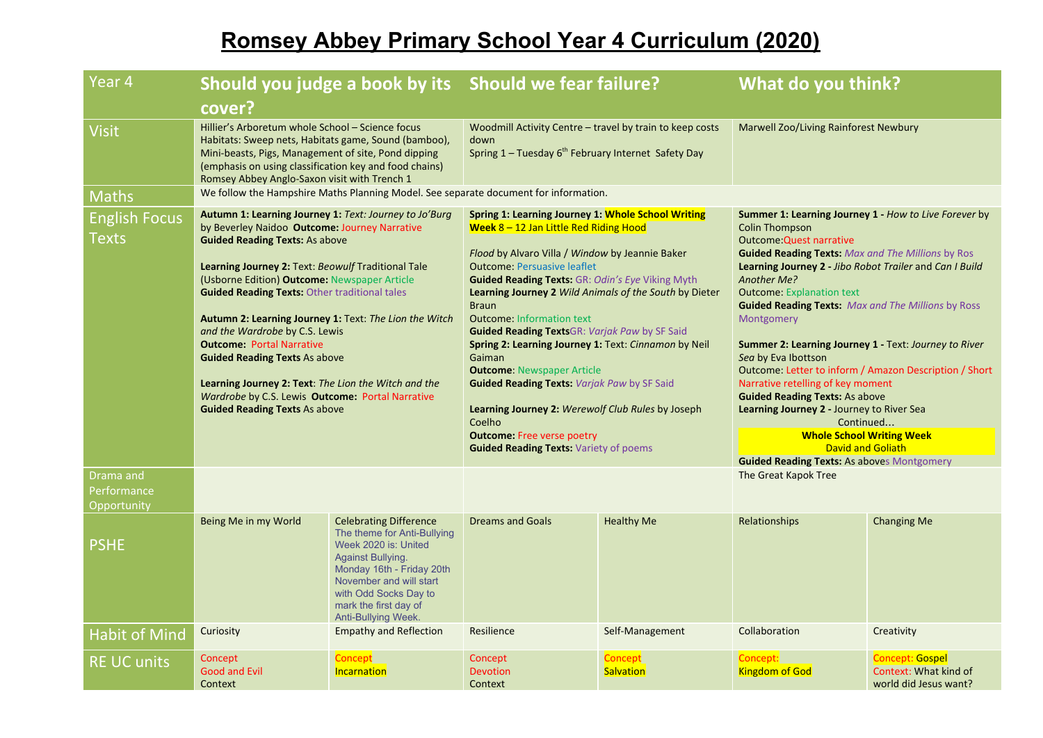## **Romsey Abbey Primary School Year 4 Curriculum (2020)**

| Year 4                                  | Should you judge a book by its Should we fear failure?                                                                                                                                                                                                                                                                                                                                                                                                                                                                                                                                                                                     |                                                                                                                                                                                                                                                   |                                                                                                                                                                                                                                                                                                                                                                                                                                                                                                                                                                                                                                                                                                                                            |                             | What do you think?                                                                                                                                                                                                                                                                                                                                                                                                                                                                                                                                                                                                                                                                                                                     |                                                                          |
|-----------------------------------------|--------------------------------------------------------------------------------------------------------------------------------------------------------------------------------------------------------------------------------------------------------------------------------------------------------------------------------------------------------------------------------------------------------------------------------------------------------------------------------------------------------------------------------------------------------------------------------------------------------------------------------------------|---------------------------------------------------------------------------------------------------------------------------------------------------------------------------------------------------------------------------------------------------|--------------------------------------------------------------------------------------------------------------------------------------------------------------------------------------------------------------------------------------------------------------------------------------------------------------------------------------------------------------------------------------------------------------------------------------------------------------------------------------------------------------------------------------------------------------------------------------------------------------------------------------------------------------------------------------------------------------------------------------------|-----------------------------|----------------------------------------------------------------------------------------------------------------------------------------------------------------------------------------------------------------------------------------------------------------------------------------------------------------------------------------------------------------------------------------------------------------------------------------------------------------------------------------------------------------------------------------------------------------------------------------------------------------------------------------------------------------------------------------------------------------------------------------|--------------------------------------------------------------------------|
|                                         | cover?                                                                                                                                                                                                                                                                                                                                                                                                                                                                                                                                                                                                                                     |                                                                                                                                                                                                                                                   |                                                                                                                                                                                                                                                                                                                                                                                                                                                                                                                                                                                                                                                                                                                                            |                             |                                                                                                                                                                                                                                                                                                                                                                                                                                                                                                                                                                                                                                                                                                                                        |                                                                          |
| <b>Visit</b>                            | Hillier's Arboretum whole School - Science focus<br>Habitats: Sweep nets, Habitats game, Sound (bamboo),<br>Mini-beasts, Pigs, Management of site, Pond dipping<br>(emphasis on using classification key and food chains)<br>Romsey Abbey Anglo-Saxon visit with Trench 1                                                                                                                                                                                                                                                                                                                                                                  |                                                                                                                                                                                                                                                   | Woodmill Activity Centre – travel by train to keep costs<br>down<br>Spring 1 - Tuesday 6 <sup>th</sup> February Internet Safety Day                                                                                                                                                                                                                                                                                                                                                                                                                                                                                                                                                                                                        |                             | Marwell Zoo/Living Rainforest Newbury                                                                                                                                                                                                                                                                                                                                                                                                                                                                                                                                                                                                                                                                                                  |                                                                          |
| <b>Maths</b>                            |                                                                                                                                                                                                                                                                                                                                                                                                                                                                                                                                                                                                                                            |                                                                                                                                                                                                                                                   | We follow the Hampshire Maths Planning Model. See separate document for information.                                                                                                                                                                                                                                                                                                                                                                                                                                                                                                                                                                                                                                                       |                             |                                                                                                                                                                                                                                                                                                                                                                                                                                                                                                                                                                                                                                                                                                                                        |                                                                          |
| <b>English Focus</b><br><b>Texts</b>    | Autumn 1: Learning Journey 1: Text: Journey to Jo'Burg<br>by Beverley Naidoo Outcome: Journey Narrative<br><b>Guided Reading Texts: As above</b><br>Learning Journey 2: Text: Beowulf Traditional Tale<br>(Usborne Edition) Outcome: Newspaper Article<br><b>Guided Reading Texts: Other traditional tales</b><br>Autumn 2: Learning Journey 1: Text: The Lion the Witch<br>and the Wardrobe by C.S. Lewis<br><b>Outcome: Portal Narrative</b><br><b>Guided Reading Texts As above</b><br>Learning Journey 2: Text: The Lion the Witch and the<br>Wardrobe by C.S. Lewis Outcome: Portal Narrative<br><b>Guided Reading Texts As above</b> |                                                                                                                                                                                                                                                   | Spring 1: Learning Journey 1: Whole School Writing<br>Week $8 - 12$ Jan Little Red Riding Hood<br>Flood by Alvaro Villa / Window by Jeannie Baker<br><b>Outcome: Persuasive leaflet</b><br><b>Guided Reading Texts: GR: Odin's Eye Viking Myth</b><br>Learning Journey 2 Wild Animals of the South by Dieter<br><b>Braun</b><br><b>Outcome: Information text</b><br><b>Guided Reading TextsGR: Varjak Paw by SF Said</b><br>Spring 2: Learning Journey 1: Text: Cinnamon by Neil<br>Gaiman<br><b>Outcome: Newspaper Article</b><br><b>Guided Reading Texts: Varjak Paw by SF Said</b><br>Learning Journey 2: Werewolf Club Rules by Joseph<br>Coelho<br><b>Outcome:</b> Free verse poetry<br><b>Guided Reading Texts: Variety of poems</b> |                             | <b>Summer 1: Learning Journey 1 - How to Live Forever by</b><br><b>Colin Thompson</b><br><b>Outcome: Quest narrative</b><br><b>Guided Reading Texts: Max and The Millions by Ros</b><br>Learning Journey 2 - Jibo Robot Trailer and Can I Build<br>Another Me?<br><b>Outcome: Explanation text</b><br><b>Guided Reading Texts: Max and The Millions by Ross</b><br>Montgomery<br><b>Summer 2: Learning Journey 1 - Text: Journey to River</b><br>Sea by Eva Ibottson<br>Outcome: Letter to inform / Amazon Description / Short<br>Narrative retelling of key moment<br><b>Guided Reading Texts: As above</b><br>Learning Journey 2 - Journey to River Sea<br>Continued<br><b>Whole School Writing Week</b><br><b>David and Goliath</b> |                                                                          |
| Drama and<br>Performance<br>Opportunity |                                                                                                                                                                                                                                                                                                                                                                                                                                                                                                                                                                                                                                            |                                                                                                                                                                                                                                                   |                                                                                                                                                                                                                                                                                                                                                                                                                                                                                                                                                                                                                                                                                                                                            |                             | <b>Guided Reading Texts: As aboves Montgomery</b><br>The Great Kapok Tree                                                                                                                                                                                                                                                                                                                                                                                                                                                                                                                                                                                                                                                              |                                                                          |
| <b>PSHE</b>                             | Being Me in my World                                                                                                                                                                                                                                                                                                                                                                                                                                                                                                                                                                                                                       | <b>Celebrating Difference</b><br>The theme for Anti-Bullying<br>Week 2020 is: United<br><b>Against Bullying.</b><br>Monday 16th - Friday 20th<br>November and will start<br>with Odd Socks Day to<br>mark the first day of<br>Anti-Bullying Week. | <b>Dreams and Goals</b>                                                                                                                                                                                                                                                                                                                                                                                                                                                                                                                                                                                                                                                                                                                    | <b>Healthy Me</b>           | Relationships                                                                                                                                                                                                                                                                                                                                                                                                                                                                                                                                                                                                                                                                                                                          | <b>Changing Me</b>                                                       |
| <b>Habit of Mind</b>                    | Curiosity                                                                                                                                                                                                                                                                                                                                                                                                                                                                                                                                                                                                                                  | <b>Empathy and Reflection</b>                                                                                                                                                                                                                     | Resilience                                                                                                                                                                                                                                                                                                                                                                                                                                                                                                                                                                                                                                                                                                                                 | Self-Management             | Collaboration                                                                                                                                                                                                                                                                                                                                                                                                                                                                                                                                                                                                                                                                                                                          | Creativity                                                               |
| <b>RE UC units</b>                      | Concept<br><b>Good and Evil</b><br>Context                                                                                                                                                                                                                                                                                                                                                                                                                                                                                                                                                                                                 | Concept<br><b>Incarnation</b>                                                                                                                                                                                                                     | Concept<br>Devotion<br>Context                                                                                                                                                                                                                                                                                                                                                                                                                                                                                                                                                                                                                                                                                                             | Concept<br><b>Salvation</b> | Concept:<br><b>Kingdom of God</b>                                                                                                                                                                                                                                                                                                                                                                                                                                                                                                                                                                                                                                                                                                      | <b>Concept: Gospel</b><br>Context: What kind of<br>world did Jesus want? |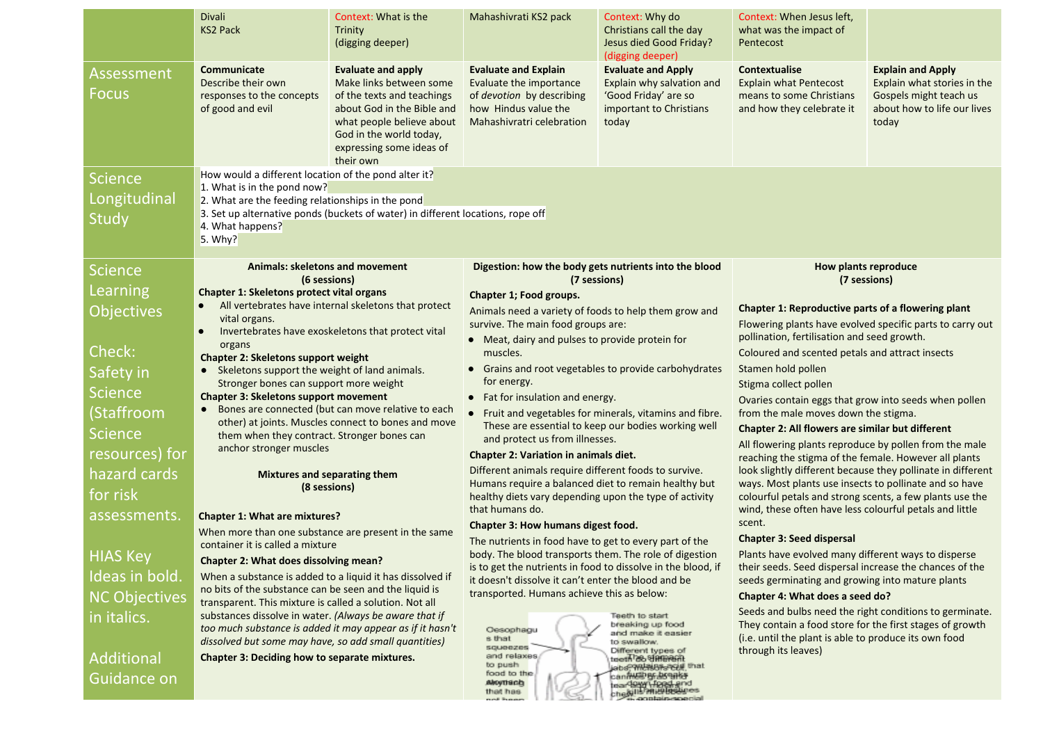|                                         | <b>Divali</b><br><b>KS2 Pack</b>                                                                                                                                                                                                                                                                         | Context: What is the<br>Trinity<br>(digging deeper)                                                                                                                                                               | Mahashivrati KS2 pack                                                                                                                                                                                                              | Context: Why do<br>Christians call the day<br>Jesus died Good Friday?<br>(digging deeper)                          | Context: When Jesus left,<br>what was the impact of<br>Pentecost                                                                                                                                                                                                                                      |                                                                                                                           |
|-----------------------------------------|----------------------------------------------------------------------------------------------------------------------------------------------------------------------------------------------------------------------------------------------------------------------------------------------------------|-------------------------------------------------------------------------------------------------------------------------------------------------------------------------------------------------------------------|------------------------------------------------------------------------------------------------------------------------------------------------------------------------------------------------------------------------------------|--------------------------------------------------------------------------------------------------------------------|-------------------------------------------------------------------------------------------------------------------------------------------------------------------------------------------------------------------------------------------------------------------------------------------------------|---------------------------------------------------------------------------------------------------------------------------|
| <b>Assessment</b><br><b>Focus</b>       | <b>Communicate</b><br>Describe their own<br>responses to the concepts<br>of good and evil                                                                                                                                                                                                                | <b>Evaluate and apply</b><br>Make links between some<br>of the texts and teachings<br>about God in the Bible and<br>what people believe about<br>God in the world today,<br>expressing some ideas of<br>their own | <b>Evaluate and Explain</b><br>Evaluate the importance<br>of devotion by describing<br>how Hindus value the<br>Mahashivratri celebration                                                                                           | <b>Evaluate and Apply</b><br>Explain why salvation and<br>'Good Friday' are so<br>important to Christians<br>today | Contextualise<br><b>Explain what Pentecost</b><br>means to some Christians<br>and how they celebrate it                                                                                                                                                                                               | <b>Explain and Apply</b><br>Explain what stories in the<br>Gospels might teach us<br>about how to life our lives<br>today |
| <b>Science</b><br>Longitudinal<br>Study | How would a different location of the pond alter it?<br>1. What is in the pond now?<br>2. What are the feeding relationships in the pond<br>3. Set up alternative ponds (buckets of water) in different locations, rope off<br>4. What happens?<br>5. Why?                                               |                                                                                                                                                                                                                   |                                                                                                                                                                                                                                    |                                                                                                                    |                                                                                                                                                                                                                                                                                                       |                                                                                                                           |
| <b>Science</b>                          |                                                                                                                                                                                                                                                                                                          | Animals: skeletons and movement<br>(6 sessions)                                                                                                                                                                   |                                                                                                                                                                                                                                    | Digestion: how the body gets nutrients into the blood<br>(7 sessions)                                              | <b>How plants reproduce</b><br>(7 sessions)                                                                                                                                                                                                                                                           |                                                                                                                           |
| Learning                                | Chapter 1: Skeletons protect vital organs                                                                                                                                                                                                                                                                |                                                                                                                                                                                                                   | Chapter 1; Food groups.                                                                                                                                                                                                            |                                                                                                                    |                                                                                                                                                                                                                                                                                                       |                                                                                                                           |
| <b>Objectives</b>                       | All vertebrates have internal skeletons that protect<br>vital organs.<br>Invertebrates have exoskeletons that protect vital<br>$\bullet$<br>organs<br><b>Chapter 2: Skeletons support weight</b><br>Skeletons support the weight of land animals.<br>$\bullet$<br>Stronger bones can support more weight |                                                                                                                                                                                                                   | Animals need a variety of foods to help them grow and<br>survive. The main food groups are:<br>• Meat, dairy and pulses to provide protein for<br>muscles.<br>• Grains and root vegetables to provide carbohydrates<br>for energy. |                                                                                                                    | Chapter 1: Reproductive parts of a flowering plant<br>Flowering plants have evolved specific parts to carry out<br>pollination, fertilisation and seed growth.<br>Coloured and scented petals and attract insects<br>Stamen hold pollen                                                               |                                                                                                                           |
|                                         |                                                                                                                                                                                                                                                                                                          |                                                                                                                                                                                                                   |                                                                                                                                                                                                                                    |                                                                                                                    |                                                                                                                                                                                                                                                                                                       |                                                                                                                           |
| Check:<br>Safety in                     |                                                                                                                                                                                                                                                                                                          |                                                                                                                                                                                                                   |                                                                                                                                                                                                                                    |                                                                                                                    |                                                                                                                                                                                                                                                                                                       |                                                                                                                           |
| <b>Science</b>                          |                                                                                                                                                                                                                                                                                                          |                                                                                                                                                                                                                   |                                                                                                                                                                                                                                    |                                                                                                                    | Stigma collect pollen                                                                                                                                                                                                                                                                                 |                                                                                                                           |
| (Staffroom                              | <b>Chapter 3: Skeletons support movement</b>                                                                                                                                                                                                                                                             | Bones are connected (but can move relative to each                                                                                                                                                                | • Fat for insulation and energy.<br>• Fruit and vegetables for minerals, vitamins and fibre.                                                                                                                                       |                                                                                                                    | Ovaries contain eggs that grow into seeds when pollen<br>from the male moves down the stigma.                                                                                                                                                                                                         |                                                                                                                           |
| <b>Science</b>                          |                                                                                                                                                                                                                                                                                                          | other) at joints. Muscles connect to bones and move                                                                                                                                                               | These are essential to keep our bodies working well<br>and protect us from illnesses.<br><b>Chapter 2: Variation in animals diet.</b>                                                                                              |                                                                                                                    | Chapter 2: All flowers are similar but different<br>All flowering plants reproduce by pollen from the male                                                                                                                                                                                            |                                                                                                                           |
| resources) for                          | them when they contract. Stronger bones can<br>anchor stronger muscles                                                                                                                                                                                                                                   |                                                                                                                                                                                                                   |                                                                                                                                                                                                                                    |                                                                                                                    |                                                                                                                                                                                                                                                                                                       |                                                                                                                           |
| hazard cards                            | <b>Mixtures and separating them</b>                                                                                                                                                                                                                                                                      |                                                                                                                                                                                                                   | Different animals require different foods to survive.<br>Humans require a balanced diet to remain healthy but<br>healthy diets vary depending upon the type of activity<br>that humans do.                                         |                                                                                                                    | reaching the stigma of the female. However all plants<br>look slightly different because they pollinate in different<br>ways. Most plants use insects to pollinate and so have<br>colourful petals and strong scents, a few plants use the<br>wind, these often have less colourful petals and little |                                                                                                                           |
| for risk                                | (8 sessions)<br><b>Chapter 1: What are mixtures?</b>                                                                                                                                                                                                                                                     |                                                                                                                                                                                                                   |                                                                                                                                                                                                                                    |                                                                                                                    |                                                                                                                                                                                                                                                                                                       |                                                                                                                           |
| assessments.                            |                                                                                                                                                                                                                                                                                                          |                                                                                                                                                                                                                   |                                                                                                                                                                                                                                    |                                                                                                                    |                                                                                                                                                                                                                                                                                                       |                                                                                                                           |
|                                         | When more than one substance are present in the same                                                                                                                                                                                                                                                     |                                                                                                                                                                                                                   | Chapter 3: How humans digest food.                                                                                                                                                                                                 |                                                                                                                    | scent.<br><b>Chapter 3: Seed dispersal</b>                                                                                                                                                                                                                                                            |                                                                                                                           |
| <b>HIAS Key</b>                         | container it is called a mixture<br><b>Chapter 2: What does dissolving mean?</b>                                                                                                                                                                                                                         |                                                                                                                                                                                                                   | The nutrients in food have to get to every part of the<br>body. The blood transports them. The role of digestion                                                                                                                   |                                                                                                                    | Plants have evolved many different ways to disperse                                                                                                                                                                                                                                                   |                                                                                                                           |
| Ideas in bold.                          | When a substance is added to a liquid it has dissolved if                                                                                                                                                                                                                                                |                                                                                                                                                                                                                   | is to get the nutrients in food to dissolve in the blood, if<br>it doesn't dissolve it can't enter the blood and be                                                                                                                |                                                                                                                    | their seeds. Seed dispersal increase the chances of the<br>seeds germinating and growing into mature plants<br>Chapter 4: What does a seed do?                                                                                                                                                        |                                                                                                                           |
| <b>NC Objectives</b>                    | no bits of the substance can be seen and the liquid is<br>transparent. This mixture is called a solution. Not all                                                                                                                                                                                        |                                                                                                                                                                                                                   | transported. Humans achieve this as below:                                                                                                                                                                                         |                                                                                                                    |                                                                                                                                                                                                                                                                                                       |                                                                                                                           |
| in italics.                             | substances dissolve in water. (Always be aware that if                                                                                                                                                                                                                                                   |                                                                                                                                                                                                                   |                                                                                                                                                                                                                                    | Teeth to start                                                                                                     | Seeds and bulbs need the right conditions to germinate.                                                                                                                                                                                                                                               |                                                                                                                           |
|                                         | dissolved but some may have, so add small quantities)                                                                                                                                                                                                                                                    | too much substance is added it may appear as if it hasn't                                                                                                                                                         | Oesophagu<br>s that                                                                                                                                                                                                                | breaking up food<br>and make it easier<br>to swallow.                                                              | They contain a food store for the first stages of growth<br>(i.e. until the plant is able to produce its own food                                                                                                                                                                                     |                                                                                                                           |
| <b>Additional</b>                       | <b>Chapter 3: Deciding how to separate mixtures.</b>                                                                                                                                                                                                                                                     |                                                                                                                                                                                                                   | squeezes<br>and relaxes<br>to push                                                                                                                                                                                                 | Different types of<br>teeth & Sinneant                                                                             | through its leaves)                                                                                                                                                                                                                                                                                   |                                                                                                                           |
| Guidance on                             |                                                                                                                                                                                                                                                                                                          |                                                                                                                                                                                                                   | food to the<br><b>Alroythech</b>                                                                                                                                                                                                   | can <del>MED Br as an</del> ks                                                                                     |                                                                                                                                                                                                                                                                                                       |                                                                                                                           |
|                                         |                                                                                                                                                                                                                                                                                                          |                                                                                                                                                                                                                   | that has                                                                                                                                                                                                                           | tear49www.food.end<br>chealth middlessies                                                                          |                                                                                                                                                                                                                                                                                                       |                                                                                                                           |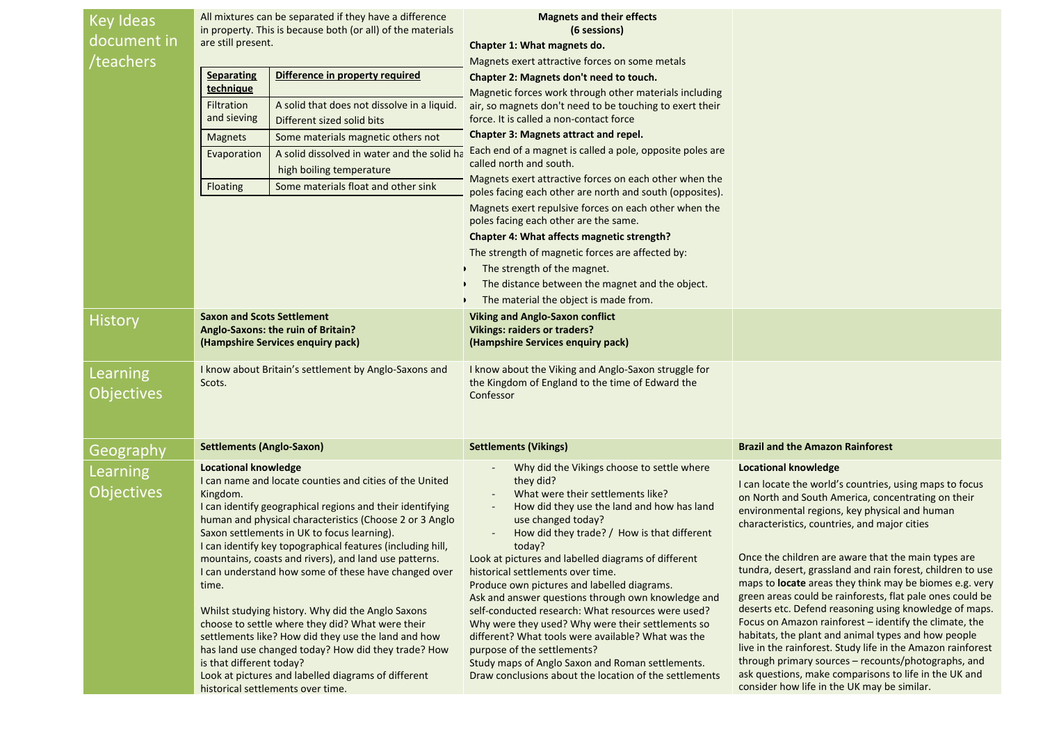| <b>Key Ideas</b>  | All mixtures can be separated if they have a difference<br>in property. This is because both (or all) of the materials |                                                                                                         | <b>Magnets and their effects</b><br>(6 sessions)                                                        |                                                                                                                   |
|-------------------|------------------------------------------------------------------------------------------------------------------------|---------------------------------------------------------------------------------------------------------|---------------------------------------------------------------------------------------------------------|-------------------------------------------------------------------------------------------------------------------|
| document in       | are still present.                                                                                                     |                                                                                                         | Chapter 1: What magnets do.                                                                             |                                                                                                                   |
| /teachers         |                                                                                                                        |                                                                                                         | Magnets exert attractive forces on some metals                                                          |                                                                                                                   |
|                   | Difference in property required<br><b>Separating</b>                                                                   |                                                                                                         | Chapter 2: Magnets don't need to touch.                                                                 |                                                                                                                   |
|                   | technique                                                                                                              |                                                                                                         | Magnetic forces work through other materials including                                                  |                                                                                                                   |
|                   | Filtration<br>and sieving                                                                                              | A solid that does not dissolve in a liquid.                                                             | air, so magnets don't need to be touching to exert their<br>force. It is called a non-contact force     |                                                                                                                   |
|                   |                                                                                                                        | Different sized solid bits                                                                              | Chapter 3: Magnets attract and repel.                                                                   |                                                                                                                   |
|                   | <b>Magnets</b>                                                                                                         | Some materials magnetic others not                                                                      | Each end of a magnet is called a pole, opposite poles are                                               |                                                                                                                   |
|                   | Evaporation                                                                                                            | A solid dissolved in water and the solid ha<br>high boiling temperature                                 | called north and south.                                                                                 |                                                                                                                   |
|                   | Floating                                                                                                               | Some materials float and other sink                                                                     | Magnets exert attractive forces on each other when the                                                  |                                                                                                                   |
|                   |                                                                                                                        |                                                                                                         | poles facing each other are north and south (opposites).                                                |                                                                                                                   |
|                   |                                                                                                                        |                                                                                                         | Magnets exert repulsive forces on each other when the<br>poles facing each other are the same.          |                                                                                                                   |
|                   |                                                                                                                        |                                                                                                         | Chapter 4: What affects magnetic strength?                                                              |                                                                                                                   |
|                   |                                                                                                                        |                                                                                                         | The strength of magnetic forces are affected by:                                                        |                                                                                                                   |
|                   |                                                                                                                        |                                                                                                         | The strength of the magnet.                                                                             |                                                                                                                   |
|                   |                                                                                                                        |                                                                                                         | The distance between the magnet and the object.                                                         |                                                                                                                   |
|                   |                                                                                                                        |                                                                                                         | The material the object is made from.                                                                   |                                                                                                                   |
| <b>History</b>    | <b>Saxon and Scots Settlement</b>                                                                                      |                                                                                                         | <b>Viking and Anglo-Saxon conflict</b>                                                                  |                                                                                                                   |
|                   |                                                                                                                        | Anglo-Saxons: the ruin of Britain?<br>(Hampshire Services enquiry pack)                                 | <b>Vikings: raiders or traders?</b><br>(Hampshire Services enquiry pack)                                |                                                                                                                   |
|                   |                                                                                                                        |                                                                                                         |                                                                                                         |                                                                                                                   |
| Learning          | I know about Britain's settlement by Anglo-Saxons and                                                                  |                                                                                                         | I know about the Viking and Anglo-Saxon struggle for                                                    |                                                                                                                   |
| <b>Objectives</b> | Scots.                                                                                                                 |                                                                                                         | the Kingdom of England to the time of Edward the<br>Confessor                                           |                                                                                                                   |
|                   |                                                                                                                        |                                                                                                         |                                                                                                         |                                                                                                                   |
|                   |                                                                                                                        |                                                                                                         |                                                                                                         |                                                                                                                   |
| Geography         | Settlements (Anglo-Saxon)                                                                                              |                                                                                                         | <b>Settlements (Vikings)</b>                                                                            | <b>Brazil and the Amazon Rainforest</b>                                                                           |
| Learning          | <b>Locational knowledge</b>                                                                                            |                                                                                                         | Why did the Vikings choose to settle where                                                              | <b>Locational knowledge</b>                                                                                       |
|                   |                                                                                                                        | I can name and locate counties and cities of the United                                                 | they did?                                                                                               | I can locate the world's countries, using maps to focus                                                           |
| <b>Objectives</b> | Kingdom.                                                                                                               | I can identify geographical regions and their identifying                                               | What were their settlements like?                                                                       | on North and South America, concentrating on their                                                                |
|                   |                                                                                                                        | human and physical characteristics (Choose 2 or 3 Anglo                                                 | How did they use the land and how has land<br>use changed today?                                        | environmental regions, key physical and human<br>characteristics, countries, and major cities                     |
|                   |                                                                                                                        | Saxon settlements in UK to focus learning).                                                             | How did they trade? / How is that different                                                             |                                                                                                                   |
|                   |                                                                                                                        | I can identify key topographical features (including hill,                                              | today?                                                                                                  |                                                                                                                   |
|                   | mountains, coasts and rivers), and land use patterns.<br>I can understand how some of these have changed over<br>time. |                                                                                                         | Look at pictures and labelled diagrams of different<br>historical settlements over time.                | Once the children are aware that the main types are<br>tundra, desert, grassland and rain forest, children to use |
|                   |                                                                                                                        |                                                                                                         | Produce own pictures and labelled diagrams.                                                             | maps to locate areas they think may be biomes e.g. very                                                           |
|                   |                                                                                                                        |                                                                                                         | Ask and answer questions through own knowledge and                                                      | green areas could be rainforests, flat pale ones could be                                                         |
|                   |                                                                                                                        | Whilst studying history. Why did the Anglo Saxons                                                       | self-conducted research: What resources were used?                                                      | deserts etc. Defend reasoning using knowledge of maps.<br>Focus on Amazon rainforest - identify the climate, the  |
|                   |                                                                                                                        | choose to settle where they did? What were their<br>settlements like? How did they use the land and how | Why were they used? Why were their settlements so<br>different? What tools were available? What was the | habitats, the plant and animal types and how people                                                               |
|                   |                                                                                                                        | has land use changed today? How did they trade? How                                                     | purpose of the settlements?                                                                             | live in the rainforest. Study life in the Amazon rainforest                                                       |
|                   | is that different today?                                                                                               |                                                                                                         | Study maps of Anglo Saxon and Roman settlements.                                                        | through primary sources - recounts/photographs, and                                                               |
|                   |                                                                                                                        | Look at pictures and labelled diagrams of different                                                     | Draw conclusions about the location of the settlements                                                  | ask questions, make comparisons to life in the UK and<br>consider how life in the UK may be similar.              |
|                   |                                                                                                                        | historical settlements over time.                                                                       |                                                                                                         |                                                                                                                   |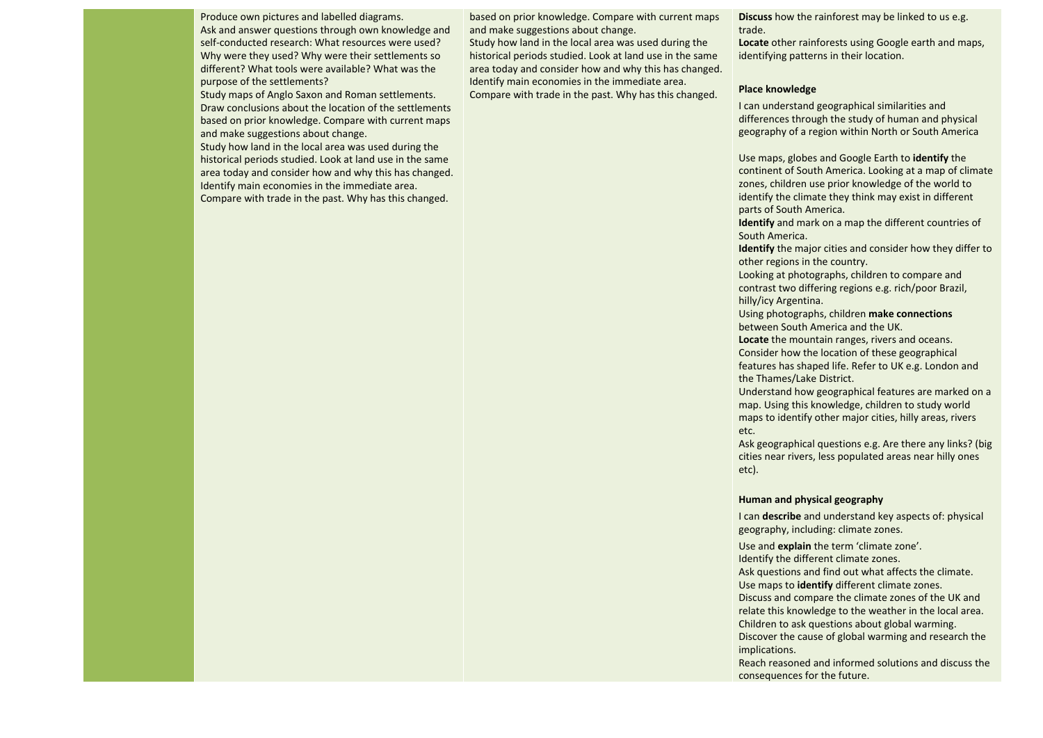Produce own pictures and labelled diagrams. Ask and answer questions through own knowledge and self-conducted research: What resources were used? Why were they used? Why were their settlements so different? What tools were available? What was the purpose of the settlements?

Study maps of Anglo Saxon and Roman settlements. Draw conclusions about the location of the settlements based on prior knowledge. Compare with current maps and make suggestions about change.

Study how land in the local area was used during the historical periods studied. Look at land use in the same area today and consider how and why this has changed. Identify main economies in the immediate area. Compare with trade in the past. Why has this changed.

based on prior knowledge. Compare with current maps and make suggestions about change.

Study how land in the local area was used during the historical periods studied. Look at land use in the same area today and consider how and why this has changed. Identify main economies in the immediate area. Compare with trade in the past. Why has this changed.

**Discuss** how the rainforest may be linked to us e.g. trade.

**Locate** other rainforests using Google earth and maps, identifying patterns in their location.

## **Place knowledge**

I can understand geographical similarities and differences through the study of human and physical geography of a region within North or South America

Use maps, globes and Google Earth to **identify** the continent of South America. Looking at a map of climate zones, children use prior knowledge of the world to identify the climate they think may exist in different parts of South America.

**Identify** and mark on a map the different countries of South America.

**Identify** the major cities and consider how they differ to other regions in the country.

Looking at photographs, children to compare and contrast two differing regions e.g. rich/poor Brazil, hilly/icy Argentina.

Using photographs, children **make connections** between South America and the UK.

**Locate** the mountain ranges, rivers and oceans. Consider how the location of these geographical features has shaped life. Refer to UK e.g. London and the Thames/Lake District.

Understand how geographical features are marked on a map. Using this knowledge, children to study world maps to identify other major cities, hilly areas, rivers etc.

Ask geographical questions e.g. Are there any links? (big cities near rivers, less populated areas near hilly ones etc).

## **Human and physical geography**

I can **describe** and understand key aspects of: physical geography, including: climate zones.

Use and **explain** the term 'climate zone'.

Identify the different climate zones.

Ask questions and find out what affects the climate.

Use maps to **identify** different climate zones.

Discuss and compare the climate zones of the UK and relate this knowledge to the weather in the local area. Children to ask questions about global warming. Discover the cause of global warming and research the

implications.

Reach reasoned and informed solutions and discuss the consequences for the future.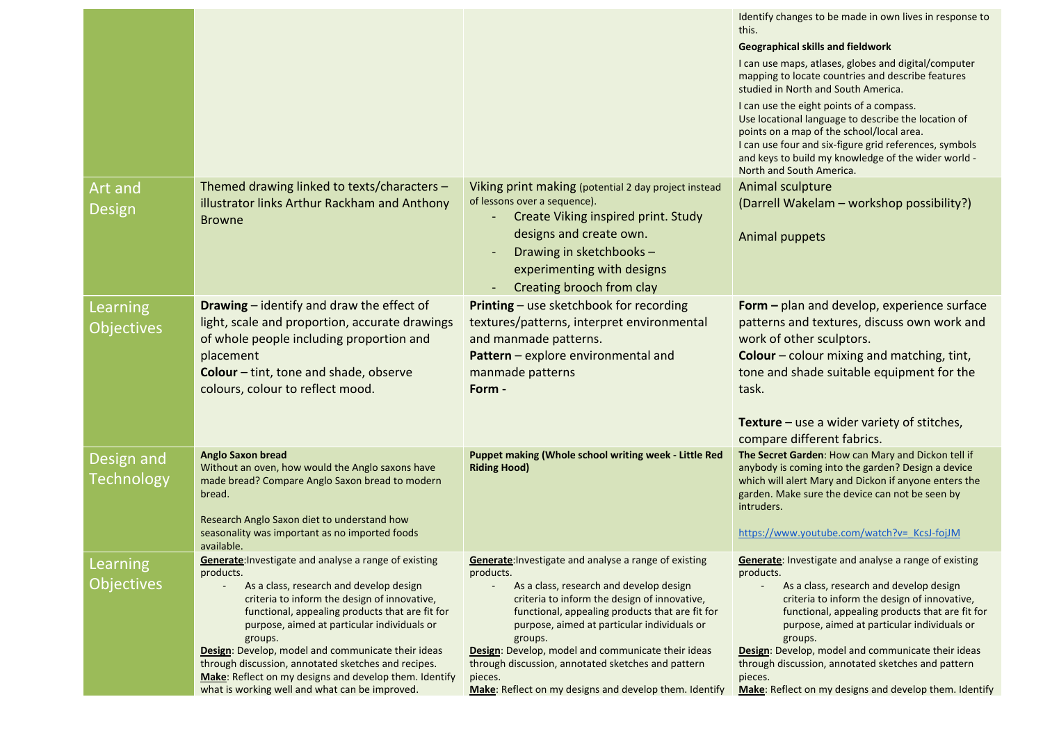|                                 |                                                                                                                                                                                                                                                                                                                                                                                                                                                                                                     |                                                                                                                                                                                                                                                                                                                                                                                                                                                             | Identify changes to be made in own lives in response to<br>this.<br><b>Geographical skills and fieldwork</b><br>I can use maps, atlases, globes and digital/computer<br>mapping to locate countries and describe features<br>studied in North and South America.<br>I can use the eight points of a compass.<br>Use locational language to describe the location of<br>points on a map of the school/local area.<br>I can use four and six-figure grid references, symbols<br>and keys to build my knowledge of the wider world -<br>North and South America. |
|---------------------------------|-----------------------------------------------------------------------------------------------------------------------------------------------------------------------------------------------------------------------------------------------------------------------------------------------------------------------------------------------------------------------------------------------------------------------------------------------------------------------------------------------------|-------------------------------------------------------------------------------------------------------------------------------------------------------------------------------------------------------------------------------------------------------------------------------------------------------------------------------------------------------------------------------------------------------------------------------------------------------------|---------------------------------------------------------------------------------------------------------------------------------------------------------------------------------------------------------------------------------------------------------------------------------------------------------------------------------------------------------------------------------------------------------------------------------------------------------------------------------------------------------------------------------------------------------------|
| Art and<br>Design               | Themed drawing linked to texts/characters -<br>illustrator links Arthur Rackham and Anthony<br><b>Browne</b>                                                                                                                                                                                                                                                                                                                                                                                        | Viking print making (potential 2 day project instead<br>of lessons over a sequence).<br>Create Viking inspired print. Study<br>designs and create own.<br>Drawing in sketchbooks -<br>experimenting with designs<br>Creating brooch from clay                                                                                                                                                                                                               | Animal sculpture<br>(Darrell Wakelam - workshop possibility?)<br>Animal puppets                                                                                                                                                                                                                                                                                                                                                                                                                                                                               |
| Learning<br><b>Objectives</b>   | <b>Drawing</b> – identify and draw the effect of<br>light, scale and proportion, accurate drawings<br>of whole people including proportion and<br>placement<br>Colour - tint, tone and shade, observe<br>colours, colour to reflect mood.                                                                                                                                                                                                                                                           | Printing - use sketchbook for recording<br>textures/patterns, interpret environmental<br>and manmade patterns.<br>Pattern - explore environmental and<br>manmade patterns<br>Form -                                                                                                                                                                                                                                                                         | Form - plan and develop, experience surface<br>patterns and textures, discuss own work and<br>work of other sculptors.<br><b>Colour</b> – colour mixing and matching, tint,<br>tone and shade suitable equipment for the<br>task.<br><b>Texture</b> – use a wider variety of stitches,<br>compare different fabrics.                                                                                                                                                                                                                                          |
| Design and<br><b>Technology</b> | <b>Anglo Saxon bread</b><br>Without an oven, how would the Anglo saxons have<br>made bread? Compare Anglo Saxon bread to modern<br>bread.<br>Research Anglo Saxon diet to understand how<br>seasonality was important as no imported foods<br>available.                                                                                                                                                                                                                                            | Puppet making (Whole school writing week - Little Red<br><b>Riding Hood)</b>                                                                                                                                                                                                                                                                                                                                                                                | The Secret Garden: How can Mary and Dickon tell if<br>anybody is coming into the garden? Design a device<br>which will alert Mary and Dickon if anyone enters the<br>garden. Make sure the device can not be seen by<br>intruders.<br>https://www.youtube.com/watch?v= KcsJ-fojJM                                                                                                                                                                                                                                                                             |
| Learning<br><b>Objectives</b>   | Generate: Investigate and analyse a range of existing<br>products.<br>As a class, research and develop design<br>criteria to inform the design of innovative,<br>functional, appealing products that are fit for<br>purpose, aimed at particular individuals or<br>groups.<br>Design: Develop, model and communicate their ideas<br>through discussion, annotated sketches and recipes.<br>Make: Reflect on my designs and develop them. Identify<br>what is working well and what can be improved. | Generate: Investigate and analyse a range of existing<br>products.<br>As a class, research and develop design<br>criteria to inform the design of innovative,<br>functional, appealing products that are fit for<br>purpose, aimed at particular individuals or<br>groups.<br>Design: Develop, model and communicate their ideas<br>through discussion, annotated sketches and pattern<br>pieces.<br>Make: Reflect on my designs and develop them. Identify | Generate: Investigate and analyse a range of existing<br>products.<br>As a class, research and develop design<br>criteria to inform the design of innovative,<br>functional, appealing products that are fit for<br>purpose, aimed at particular individuals or<br>groups.<br>Design: Develop, model and communicate their ideas<br>through discussion, annotated sketches and pattern<br>pieces.<br>Make: Reflect on my designs and develop them. Identify                                                                                                   |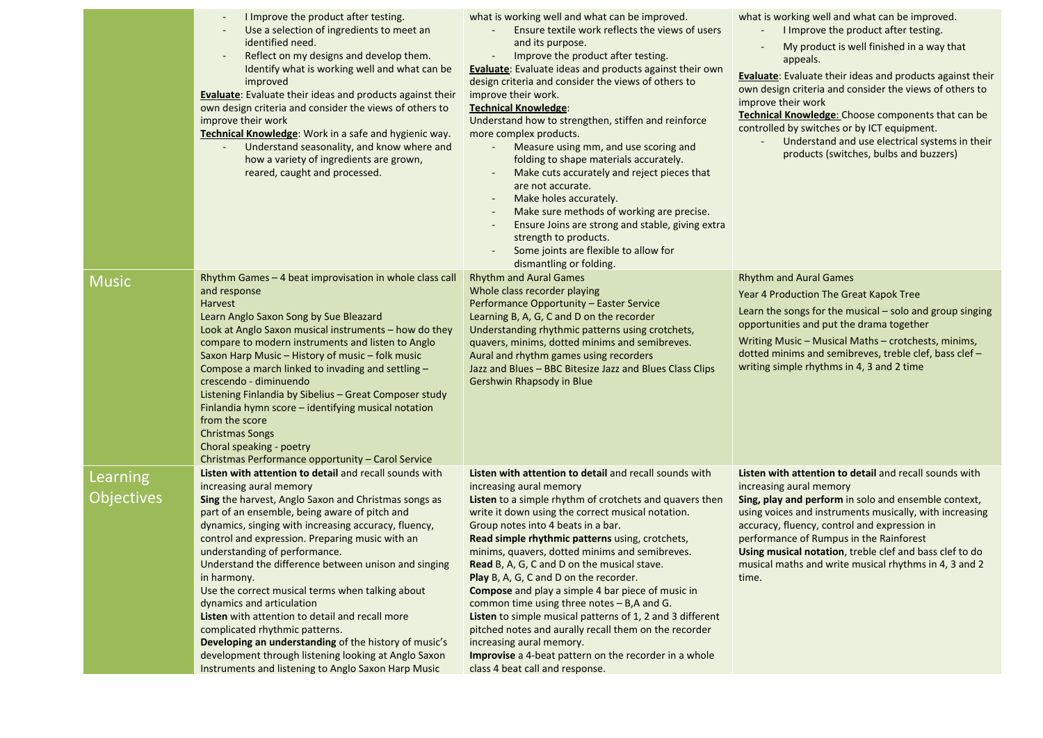|                               | I Improve the product after testing.<br>Use a selection of ingredients to meet an<br>identified need.<br>Reflect on my designs and develop them.<br>Identify what is working well and what can be<br>improved<br><b>Evaluate:</b> Evaluate their ideas and products against their<br>own design criteria and consider the views of others to<br>improve their work<br>Technical Knowledge: Work in a safe and hygienic way.<br>Understand seasonality, and know where and<br>how a variety of ingredients are grown,<br>reared, caught and processed.                                                                                                                                                                                                       | what is working well and what can be improved.<br>Ensure textile work reflects the views of users<br>and its purpose.<br>Improve the product after testing.<br><b>Evaluate:</b> Evaluate ideas and products against their own<br>design criteria and consider the views of others to<br>improve their work.<br><b>Technical Knowledge:</b><br>Understand how to strengthen, stiffen and reinforce<br>more complex products.<br>Measure using mm, and use scoring and<br>folding to shape materials accurately.<br>Make cuts accurately and reject pieces that<br>are not accurate.<br>Make holes accurately.<br>Make sure methods of working are precise.<br>Ensure Joins are strong and stable, giving extra<br>strength to products.<br>Some joints are flexible to allow for<br>dismantling or folding. | what is working well and what can be improved.<br>I Improve the product after testing.<br>My product is well finished in a way that<br>appeals.<br><b>Evaluate:</b> Evaluate their ideas and products against their<br>own design criteria and consider the views of others to<br>improve their work<br>Technical Knowledge: Choose components that can be<br>controlled by switches or by ICT equipment.<br>Understand and use electrical systems in their<br>products (switches, bulbs and buzzers) |
|-------------------------------|-------------------------------------------------------------------------------------------------------------------------------------------------------------------------------------------------------------------------------------------------------------------------------------------------------------------------------------------------------------------------------------------------------------------------------------------------------------------------------------------------------------------------------------------------------------------------------------------------------------------------------------------------------------------------------------------------------------------------------------------------------------|------------------------------------------------------------------------------------------------------------------------------------------------------------------------------------------------------------------------------------------------------------------------------------------------------------------------------------------------------------------------------------------------------------------------------------------------------------------------------------------------------------------------------------------------------------------------------------------------------------------------------------------------------------------------------------------------------------------------------------------------------------------------------------------------------------|-------------------------------------------------------------------------------------------------------------------------------------------------------------------------------------------------------------------------------------------------------------------------------------------------------------------------------------------------------------------------------------------------------------------------------------------------------------------------------------------------------|
| <b>Music</b>                  | Rhythm Games - 4 beat improvisation in whole class call<br>and response<br><b>Harvest</b><br>Learn Anglo Saxon Song by Sue Bleazard<br>Look at Anglo Saxon musical instruments - how do they<br>compare to modern instruments and listen to Anglo<br>Saxon Harp Music - History of music - folk music<br>Compose a march linked to invading and settling -<br>crescendo - diminuendo<br>Listening Finlandia by Sibelius - Great Composer study<br>Finlandia hymn score - identifying musical notation<br>from the score<br><b>Christmas Songs</b><br>Choral speaking - poetry<br>Christmas Performance opportunity - Carol Service                                                                                                                          | <b>Rhythm and Aural Games</b><br>Whole class recorder playing<br>Performance Opportunity - Easter Service<br>Learning B, A, G, C and D on the recorder<br>Understanding rhythmic patterns using crotchets,<br>quavers, minims, dotted minims and semibreves.<br>Aural and rhythm games using recorders<br>Jazz and Blues - BBC Bitesize Jazz and Blues Class Clips<br>Gershwin Rhapsody in Blue                                                                                                                                                                                                                                                                                                                                                                                                            | <b>Rhythm and Aural Games</b><br>Year 4 Production The Great Kapok Tree<br>Learn the songs for the musical $-$ solo and group singing<br>opportunities and put the drama together<br>Writing Music - Musical Maths - crotchests, minims,<br>dotted minims and semibreves, treble clef, bass clef -<br>writing simple rhythms in 4, 3 and 2 time                                                                                                                                                       |
| Learning<br><b>Objectives</b> | Listen with attention to detail and recall sounds with<br>increasing aural memory<br>Sing the harvest, Anglo Saxon and Christmas songs as<br>part of an ensemble, being aware of pitch and<br>dynamics, singing with increasing accuracy, fluency,<br>control and expression. Preparing music with an<br>understanding of performance.<br>Understand the difference between unison and singing<br>in harmony.<br>Use the correct musical terms when talking about<br>dynamics and articulation<br>Listen with attention to detail and recall more<br>complicated rhythmic patterns.<br>Developing an understanding of the history of music's<br>development through listening looking at Anglo Saxon<br>Instruments and listening to Anglo Saxon Harp Music | Listen with attention to detail and recall sounds with<br>increasing aural memory<br>Listen to a simple rhythm of crotchets and quavers then<br>write it down using the correct musical notation.<br>Group notes into 4 beats in a bar.<br>Read simple rhythmic patterns using, crotchets,<br>minims, quavers, dotted minims and semibreves.<br>Read B, A, G, C and D on the musical stave.<br>Play B, A, G, C and D on the recorder.<br><b>Compose</b> and play a simple 4 bar piece of music in<br>common time using three notes $-$ B,A and G.<br>Listen to simple musical patterns of 1, 2 and 3 different<br>pitched notes and aurally recall them on the recorder<br>increasing aural memory.<br>Improvise a 4-beat pattern on the recorder in a whole<br>class 4 beat call and response.            | Listen with attention to detail and recall sounds with<br>increasing aural memory<br>Sing, play and perform in solo and ensemble context,<br>using voices and instruments musically, with increasing<br>accuracy, fluency, control and expression in<br>performance of Rumpus in the Rainforest<br>Using musical notation, treble clef and bass clef to do<br>musical maths and write musical rhythms in 4, 3 and 2<br>time.                                                                          |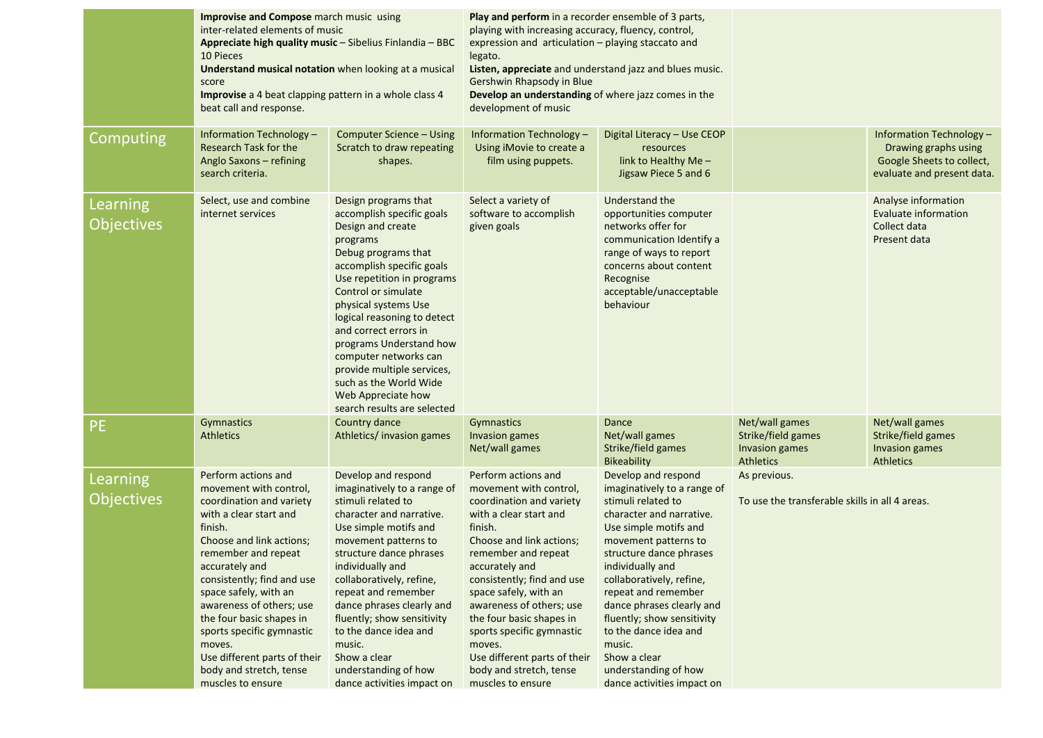|                               | <b>Improvise and Compose</b> march music using<br>inter-related elements of music<br>Appreciate high quality music - Sibelius Finlandia - BBC<br>10 Pieces<br>Understand musical notation when looking at a musical<br>score<br>Improvise a 4 beat clapping pattern in a whole class 4<br>beat call and response.                                                                                                         |                                                                                                                                                                                                                                                                                                                                                                                                                                              | Play and perform in a recorder ensemble of 3 parts,<br>playing with increasing accuracy, fluency, control,<br>expression and articulation - playing staccato and<br>legato.<br>Listen, appreciate and understand jazz and blues music.<br>Gershwin Rhapsody in Blue<br>Develop an understanding of where jazz comes in the<br>development of music                                                                        |                                                                                                                                                                                                                                                                                                                                                                                                                             |                                                                            |                                                                                                             |
|-------------------------------|---------------------------------------------------------------------------------------------------------------------------------------------------------------------------------------------------------------------------------------------------------------------------------------------------------------------------------------------------------------------------------------------------------------------------|----------------------------------------------------------------------------------------------------------------------------------------------------------------------------------------------------------------------------------------------------------------------------------------------------------------------------------------------------------------------------------------------------------------------------------------------|---------------------------------------------------------------------------------------------------------------------------------------------------------------------------------------------------------------------------------------------------------------------------------------------------------------------------------------------------------------------------------------------------------------------------|-----------------------------------------------------------------------------------------------------------------------------------------------------------------------------------------------------------------------------------------------------------------------------------------------------------------------------------------------------------------------------------------------------------------------------|----------------------------------------------------------------------------|-------------------------------------------------------------------------------------------------------------|
| <b>Computing</b>              | Information Technology -<br>Research Task for the<br>Anglo Saxons - refining<br>search criteria.                                                                                                                                                                                                                                                                                                                          | Computer Science - Using<br>Scratch to draw repeating<br>shapes.                                                                                                                                                                                                                                                                                                                                                                             | Information Technology -<br>Using iMovie to create a<br>film using puppets.                                                                                                                                                                                                                                                                                                                                               | Digital Literacy - Use CEOP<br>resources<br>link to Healthy Me -<br>Jigsaw Piece 5 and 6                                                                                                                                                                                                                                                                                                                                    |                                                                            | Information Technology -<br>Drawing graphs using<br>Google Sheets to collect,<br>evaluate and present data. |
| Learning<br><b>Objectives</b> | Select, use and combine<br>internet services                                                                                                                                                                                                                                                                                                                                                                              | Design programs that<br>accomplish specific goals<br>Design and create<br>programs<br>Debug programs that<br>accomplish specific goals<br>Use repetition in programs<br>Control or simulate<br>physical systems Use<br>logical reasoning to detect<br>and correct errors in<br>programs Understand how<br>computer networks can<br>provide multiple services,<br>such as the World Wide<br>Web Appreciate how<br>search results are selected | Select a variety of<br>software to accomplish<br>given goals                                                                                                                                                                                                                                                                                                                                                              | Understand the<br>opportunities computer<br>networks offer for<br>communication Identify a<br>range of ways to report<br>concerns about content<br>Recognise<br>acceptable/unacceptable<br>behaviour                                                                                                                                                                                                                        |                                                                            | Analyse information<br><b>Evaluate information</b><br>Collect data<br>Present data                          |
| <b>PE</b>                     | Gymnastics<br><b>Athletics</b>                                                                                                                                                                                                                                                                                                                                                                                            | Country dance<br>Athletics/invasion games                                                                                                                                                                                                                                                                                                                                                                                                    | Gymnastics<br>Invasion games<br>Net/wall games                                                                                                                                                                                                                                                                                                                                                                            | Dance<br>Net/wall games<br>Strike/field games<br><b>Bikeability</b>                                                                                                                                                                                                                                                                                                                                                         | Net/wall games<br>Strike/field games<br><b>Invasion games</b><br>Athletics | Net/wall games<br>Strike/field games<br>Invasion games<br><b>Athletics</b>                                  |
| Learning<br><b>Objectives</b> | Perform actions and<br>movement with control,<br>coordination and variety<br>with a clear start and<br>finish.<br>Choose and link actions;<br>remember and repeat<br>accurately and<br>consistently; find and use<br>space safely, with an<br>awareness of others; use<br>the four basic shapes in<br>sports specific gymnastic<br>moves.<br>Use different parts of their<br>body and stretch, tense<br>muscles to ensure | Develop and respond<br>imaginatively to a range of<br>stimuli related to<br>character and narrative.<br>Use simple motifs and<br>movement patterns to<br>structure dance phrases<br>individually and<br>collaboratively, refine,<br>repeat and remember<br>dance phrases clearly and<br>fluently; show sensitivity<br>to the dance idea and<br>music.<br>Show a clear<br>understanding of how<br>dance activities impact on                  | Perform actions and<br>movement with control,<br>coordination and variety<br>with a clear start and<br>finish.<br>Choose and link actions;<br>remember and repeat<br>accurately and<br>consistently; find and use<br>space safely, with an<br>awareness of others; use<br>the four basic shapes in<br>sports specific gymnastic<br>moves.<br>Use different parts of their<br>body and stretch, tense<br>muscles to ensure | Develop and respond<br>imaginatively to a range of<br>stimuli related to<br>character and narrative.<br>Use simple motifs and<br>movement patterns to<br>structure dance phrases<br>individually and<br>collaboratively, refine,<br>repeat and remember<br>dance phrases clearly and<br>fluently; show sensitivity<br>to the dance idea and<br>music.<br>Show a clear<br>understanding of how<br>dance activities impact on | As previous.<br>To use the transferable skills in all 4 areas.             |                                                                                                             |